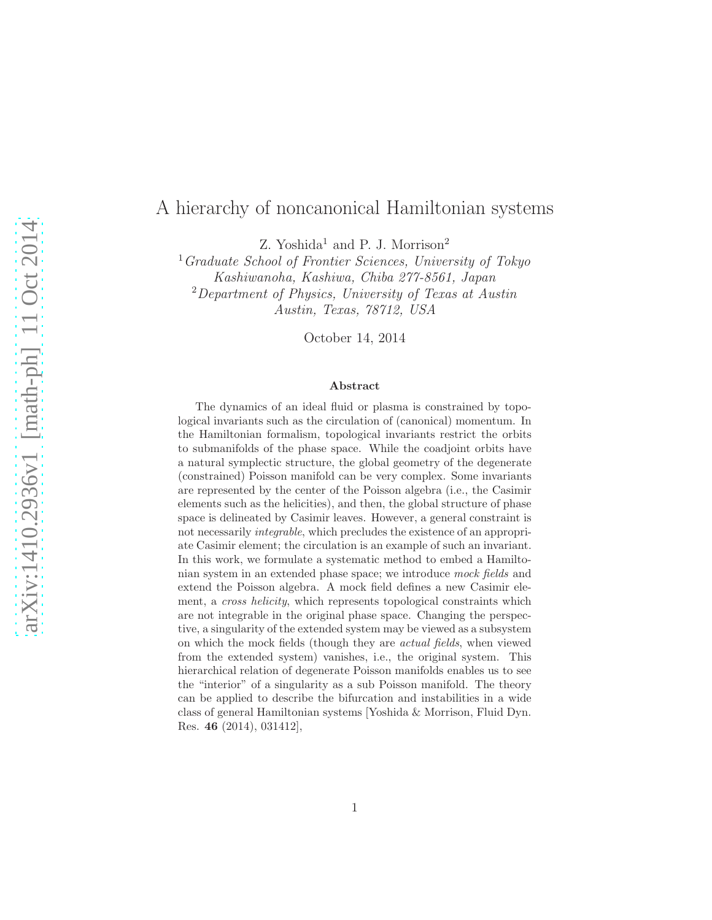## A hierarchy of noncanonical Hamiltonian systems

Z. Yoshida<sup>1</sup> and P. J. Morrison<sup>2</sup>

 $<sup>1</sup>Graduate School of Frontier Sciences, University of Tokyo$ </sup> Kashiwanoha, Kashiwa, Chiba 277-8561, Japan <sup>2</sup>Department of Physics, University of Texas at Austin Austin, Texas, 78712, USA

October 14, 2014

#### Abstract

The dynamics of an ideal fluid or plasma is constrained by topological invariants such as the circulation of (canonical) momentum. In the Hamiltonian formalism, topological invariants restrict the orbits to submanifolds of the phase space. While the coadjoint orbits have a natural symplectic structure, the global geometry of the degenerate (constrained) Poisson manifold can be very complex. Some invariants are represented by the center of the Poisson algebra (i.e., the Casimir elements such as the helicities), and then, the global structure of phase space is delineated by Casimir leaves. However, a general constraint is not necessarily integrable, which precludes the existence of an appropriate Casimir element; the circulation is an example of such an invariant. In this work, we formulate a systematic method to embed a Hamiltonian system in an extended phase space; we introduce mock fields and extend the Poisson algebra. A mock field defines a new Casimir element, a *cross helicity*, which represents topological constraints which are not integrable in the original phase space. Changing the perspective, a singularity of the extended system may be viewed as a subsystem on which the mock fields (though they are *actual fields*, when viewed from the extended system) vanishes, i.e., the original system. This hierarchical relation of degenerate Poisson manifolds enables us to see the "interior" of a singularity as a sub Poisson manifold. The theory can be applied to describe the bifurcation and instabilities in a wide class of general Hamiltonian systems [Yoshida & Morrison, Fluid Dyn. Res. 46 (2014), 031412],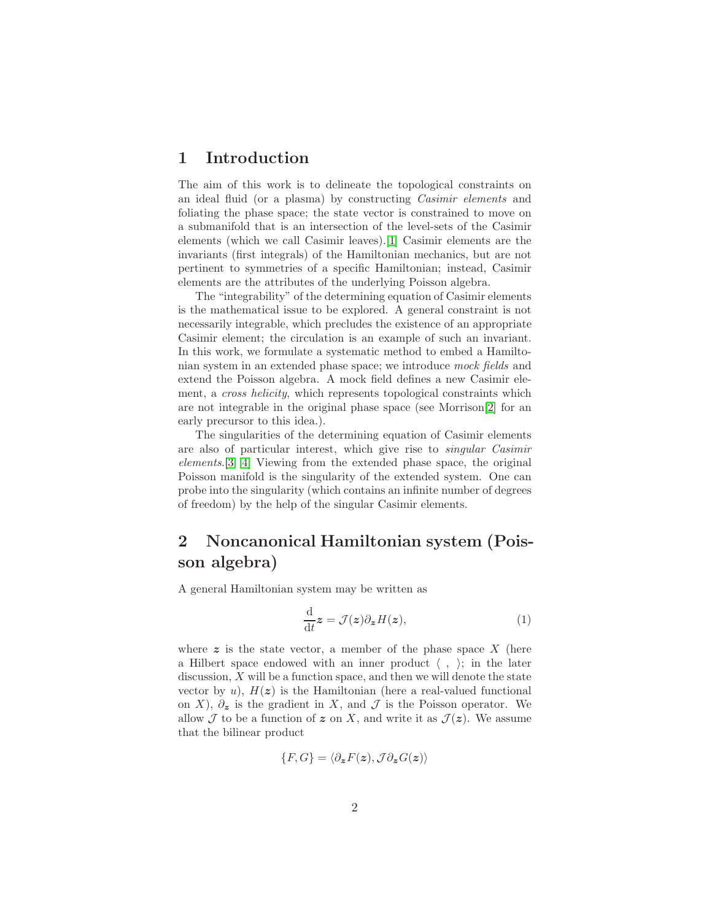#### 1 Introduction

The aim of this work is to delineate the topological constraints on an ideal fluid (or a plasma) by constructing Casimir elements and foliating the phase space; the state vector is constrained to move on a submanifold that is an intersection of the level-sets of the Casimir elements (which we call Casimir leaves).[\[1\]](#page-7-0) Casimir elements are the invariants (first integrals) of the Hamiltonian mechanics, but are not pertinent to symmetries of a specific Hamiltonian; instead, Casimir elements are the attributes of the underlying Poisson algebra.

The "integrability" of the determining equation of Casimir elements is the mathematical issue to be explored. A general constraint is not necessarily integrable, which precludes the existence of an appropriate Casimir element; the circulation is an example of such an invariant. In this work, we formulate a systematic method to embed a Hamiltonian system in an extended phase space; we introduce mock fields and extend the Poisson algebra. A mock field defines a new Casimir element, a *cross helicity*, which represents topological constraints which are not integrable in the original phase space (see Morrison[\[2\]](#page-7-1) for an early precursor to this idea.).

The singularities of the determining equation of Casimir elements are also of particular interest, which give rise to singular Casimir elements.[\[3,](#page-7-2) [4\]](#page-7-3) Viewing from the extended phase space, the original Poisson manifold is the singularity of the extended system. One can probe into the singularity (which contains an infinite number of degrees of freedom) by the help of the singular Casimir elements.

# 2 Noncanonical Hamiltonian system (Poisson algebra)

A general Hamiltonian system may be written as

$$
\frac{\mathrm{d}}{\mathrm{d}t}z = \mathcal{J}(z)\partial_z H(z),\tag{1}
$$

where  $z$  is the state vector, a member of the phase space  $X$  (here a Hilbert space endowed with an inner product  $\langle , \rangle$ ; in the later discussion,  $X$  will be a function space, and then we will denote the state vector by  $u$ ),  $H(z)$  is the Hamiltonian (here a real-valued functional on X),  $\partial_z$  is the gradient in X, and J is the Poisson operator. We allow  $\mathcal J$  to be a function of  $\boldsymbol{z}$  on X, and write it as  $\mathcal J(\boldsymbol{z})$ . We assume that the bilinear product

$$
\{F, G\} = \langle \partial_{\boldsymbol{z}} F(\boldsymbol{z}), \mathcal{J} \partial_{\boldsymbol{z}} G(\boldsymbol{z}) \rangle
$$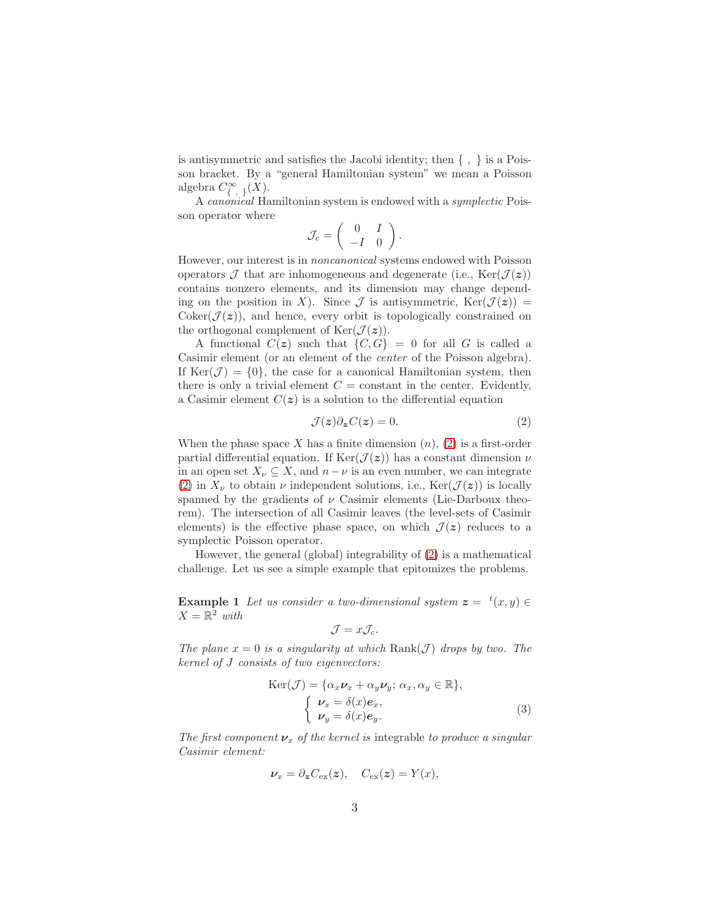is antisymmetric and satisfies the Jacobi identity; then  $\{ , \}$  is a Poisson bracket. By a "general Hamiltonian system" we mean a Poisson algebra  $C^{\infty}_{\{,\} \}(X)$ .

A canonical Hamiltonian system is endowed with a symplectic Poisson operator where

$$
\mathcal{J}_c = \left( \begin{array}{cc} 0 & I \\ -I & 0 \end{array} \right).
$$

However, our interest is in noncanonical systems endowed with Poisson operators  $\mathcal J$  that are inhomogeneous and degenerate (i.e., Ker( $\mathcal J(z)$ ) contains nonzero elements, and its dimension may change depending on the position in X). Since  $\mathcal J$  is antisymmetric,  $\text{Ker}(\mathcal J(z)) =$ Coker( $\mathcal{J}(z)$ ), and hence, every orbit is topologically constrained on the orthogonal complement of  $\text{Ker}(\mathcal{J}(z))$ .

A functional  $C(z)$  such that  $\{C, G\} = 0$  for all G is called a Casimir element (or an element of the center of the Poisson algebra). If  $\text{Ker}(\mathcal{J}) = \{0\}$ , the case for a canonical Hamiltonian system, then there is only a trivial element  $C = constant$  in the center. Evidently, a Casimir element  $C(z)$  is a solution to the differential equation

<span id="page-2-0"></span>
$$
\mathcal{J}(z)\partial_z C(z) = 0.\tag{2}
$$

When the phase space X has a finite dimension  $(n)$ ,  $(2)$  is a first-order partial differential equation. If  $\text{Ker}(\mathcal{J}(z))$  has a constant dimension  $\nu$ in an open set  $X_{\nu} \subseteq X$ , and  $n - \nu$  is an even number, we can integrate [\(2\)](#page-2-0) in  $X_{\nu}$  to obtain  $\nu$  independent solutions, i.e.,  $\text{Ker}(\mathcal{J}(z))$  is locally spanned by the gradients of  $\nu$  Casimir elements (Lie-Darboux theorem). The intersection of all Casimir leaves (the level-sets of Casimir elements) is the effective phase space, on which  $\mathcal{J}(z)$  reduces to a symplectic Poisson operator.

However, the general (global) integrability of [\(2\)](#page-2-0) is a mathematical challenge. Let us see a simple example that epitomizes the problems.

<span id="page-2-1"></span>**Example 1** Let us consider a two-dimensional system  $z = {}^{t}(x, y) \in$  $X=\mathbb{R}^2$  with

$$
\mathcal{J} = x \mathcal{J}_c.
$$

The plane  $x = 0$  is a singularity at which  $\text{Rank}(\mathcal{J})$  drops by two. The kernel of J consists of two eigenvectors:

$$
\text{Ker}(\mathcal{J}) = \{ \alpha_x \nu_x + \alpha_y \nu_y; \ \alpha_x, \alpha_y \in \mathbb{R} \},\
$$

$$
\begin{cases} \nu_x = \delta(x)e_x, \\ \nu_y = \delta(x)e_y. \end{cases}
$$
(3)

The first component  $\nu_x$  of the kernel is integrable to produce a singular Casimir element:

$$
\nu_x = \partial_{\mathbf{z}} C_{\text{ex}}(\mathbf{z}), \quad C_{\text{ex}}(\mathbf{z}) = Y(x),
$$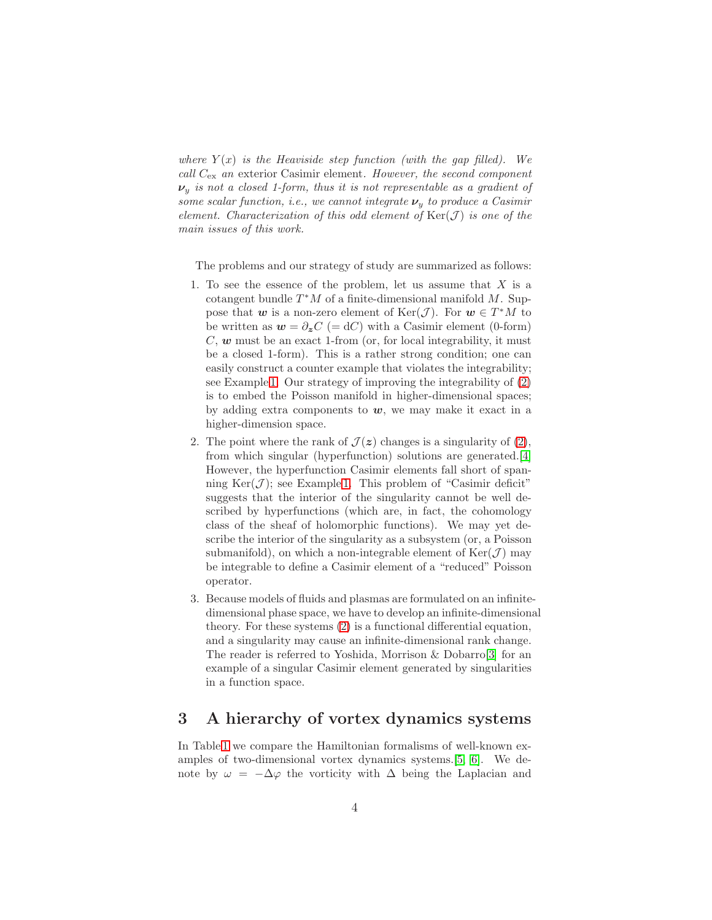where  $Y(x)$  is the Heaviside step function (with the gap filled). We call  $C_{\text{ex}}$  an exterior Casimir element. However, the second component  $\nu_y$  is not a closed 1-form, thus it is not representable as a gradient of some scalar function, i.e., we cannot integrate  $\nu_n$  to produce a Casimir element. Characterization of this odd element of  $\text{Ker}(\mathcal{J})$  is one of the main issues of this work.

The problems and our strategy of study are summarized as follows:

- 1. To see the essence of the problem, let us assume that  $X$  is a cotangent bundle  $T^*M$  of a finite-dimensional manifold  $M$ . Suppose that w is a non-zero element of  $\text{Ker}(\mathcal{J})$ . For  $w \in T^*M$  to be written as  $w = \partial_z C = dC$  with a Casimir element (0-form)  $C, w$  must be an exact 1-from (or, for local integrability, it must be a closed 1-form). This is a rather strong condition; one can easily construct a counter example that violates the integrability; see Example [1.](#page-2-1) Our strategy of improving the integrability of [\(2\)](#page-2-0) is to embed the Poisson manifold in higher-dimensional spaces; by adding extra components to  $w$ , we may make it exact in a higher-dimension space.
- 2. The point where the rank of  $\mathcal{J}(z)$  changes is a singularity of [\(2\)](#page-2-0), from which singular (hyperfunction) solutions are generated.[\[4\]](#page-7-3) However, the hyperfunction Casimir elements fall short of spanning  $\text{Ker}(\mathcal{J})$ ; see Example [1.](#page-2-1) This problem of "Casimir deficit" suggests that the interior of the singularity cannot be well described by hyperfunctions (which are, in fact, the cohomology class of the sheaf of holomorphic functions). We may yet describe the interior of the singularity as a subsystem (or, a Poisson submanifold), on which a non-integrable element of  $\text{Ker}(\mathcal{J})$  may be integrable to define a Casimir element of a "reduced" Poisson operator.
- 3. Because models of fluids and plasmas are formulated on an infinitedimensional phase space, we have to develop an infinite-dimensional theory. For these systems [\(2\)](#page-2-0) is a functional differential equation, and a singularity may cause an infinite-dimensional rank change. The reader is referred to Yoshida, Morrison & Dobarro[\[3\]](#page-7-2) for an example of a singular Casimir element generated by singularities in a function space.

## 3 A hierarchy of vortex dynamics systems

In Table [1](#page-4-0) we compare the Hamiltonian formalisms of well-known examples of two-dimensional vortex dynamics systems.[\[5,](#page-7-4) [6\]](#page-7-5). We denote by  $\omega = -\Delta\varphi$  the vorticity with  $\Delta$  being the Laplacian and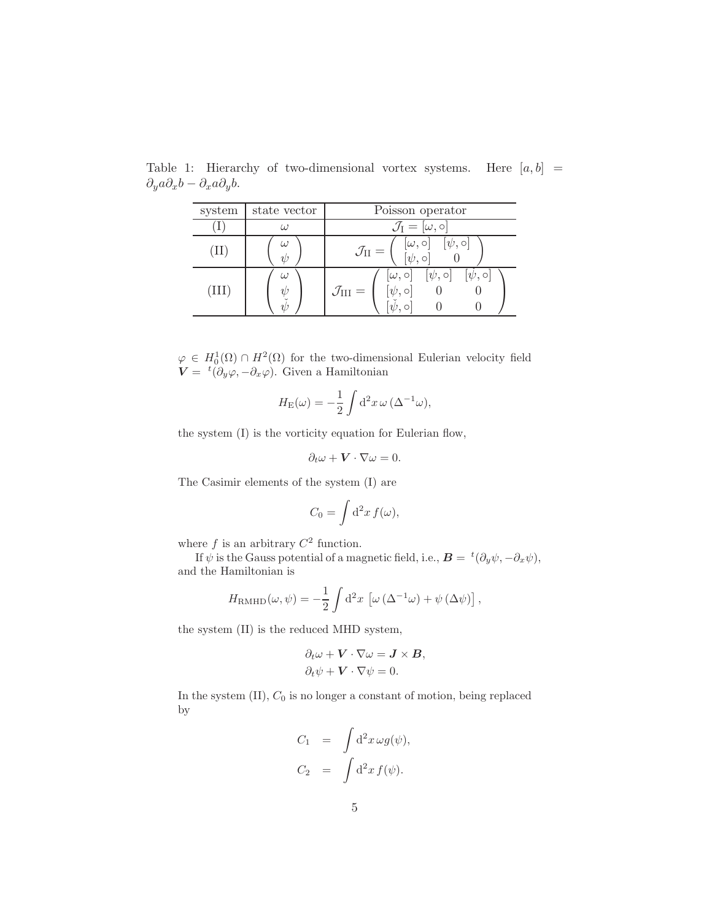<span id="page-4-0"></span>

| system | state vector                 | Poisson operator                                                                                       |
|--------|------------------------------|--------------------------------------------------------------------------------------------------------|
|        | $\left( \frac{1}{2} \right)$ | $\mathcal{J}_{\rm I} =  \omega, \circ $                                                                |
|        | $\eta$                       | $[\omega, \circ]$<br>$[\psi, \circ]$<br>$[\psi, \circ]$<br>$\mathcal{J}_\text{II}=$                    |
| (III)  | (1)                          | $[\omega,\circ] \quad [\psi,\circ]$<br>$ \psi, \circ $<br>$\mathcal{J}_{\rm III} =$<br>$[\psi, \circ]$ |

Table 1: Hierarchy of two-dimensional vortex systems. Here  $[a, b]$  =  $\partial_y a \partial_x b - \partial_x a \partial_y b.$ 

 $\varphi \in H_0^1(\Omega) \cap H^2(\Omega)$  for the two-dimensional Eulerian velocity field  $\mathbf{V} = {}^{t}(\partial_y \varphi, -\partial_x \varphi)$ . Given a Hamiltonian

$$
H_{\rm E}(\omega) = -\frac{1}{2} \int d^2 x \, \omega \, (\Delta^{-1} \omega),
$$

the system (I) is the vorticity equation for Eulerian flow,

$$
\partial_t \omega + \mathbf{V} \cdot \nabla \omega = 0.
$$

The Casimir elements of the system (I) are

$$
C_0 = \int \mathrm{d}^2 x \, f(\omega),
$$

where  $f$  is an arbitrary  $C^2$  function.

If  $\psi$  is the Gauss potential of a magnetic field, i.e.,  $\boldsymbol{B} = {}^{t}(\partial_y \psi, -\partial_x \psi)$ , and the Hamiltonian is

$$
H_{\rm RMHD}(\omega,\psi) = -\frac{1}{2} \int d^2x \, \left[ \omega \left( \Delta^{-1} \omega \right) + \psi \left( \Delta \psi \right) \right],
$$

the system (II) is the reduced MHD system,

$$
\partial_t \omega + \mathbf{V} \cdot \nabla \omega = \mathbf{J} \times \mathbf{B},
$$
  

$$
\partial_t \psi + \mathbf{V} \cdot \nabla \psi = 0.
$$

In the system  $(II)$ ,  $C_0$  is no longer a constant of motion, being replaced by

$$
C_1 = \int d^2x \,\omega g(\psi),
$$
  

$$
C_2 = \int d^2x f(\psi).
$$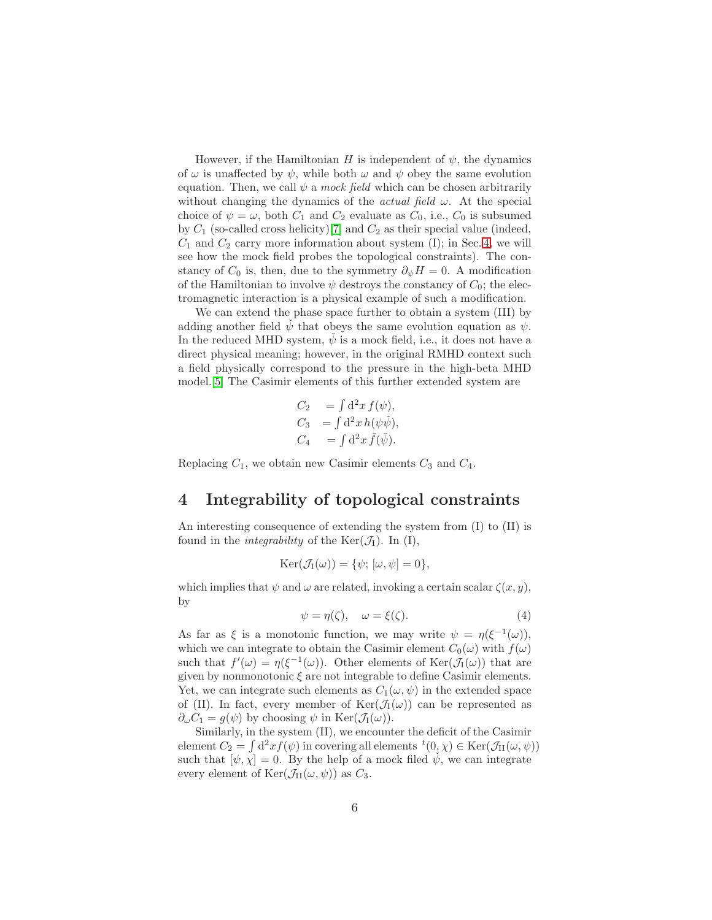However, if the Hamiltonian H is independent of  $\psi$ , the dynamics of  $\omega$  is unaffected by  $\psi$ , while both  $\omega$  and  $\psi$  obey the same evolution equation. Then, we call  $\psi$  a mock field which can be chosen arbitrarily without changing the dynamics of the *actual field*  $\omega$ . At the special choice of  $\psi = \omega$ , both  $C_1$  and  $C_2$  evaluate as  $C_0$ , i.e.,  $C_0$  is subsumed by  $C_1$  (so-called cross helicity)[\[7\]](#page-7-6) and  $C_2$  as their special value (indeed,  $C_1$  and  $C_2$  carry more information about system (I); in Sec. [4,](#page-5-0) we will see how the mock field probes the topological constraints). The constancy of  $C_0$  is, then, due to the symmetry  $\partial_{\psi}H = 0$ . A modification of the Hamiltonian to involve  $\psi$  destroys the constancy of  $C_0$ ; the electromagnetic interaction is a physical example of such a modification.

We can extend the phase space further to obtain a system (III) by adding another field  $\dot{\psi}$  that obeys the same evolution equation as  $\psi$ . In the reduced MHD system,  $\dot{\psi}$  is a mock field, i.e., it does not have a direct physical meaning; however, in the original RMHD context such a field physically correspond to the pressure in the high-beta MHD model.[\[5\]](#page-7-4) The Casimir elements of this further extended system are

$$
C_2 = \int d^2x f(\psi),
$$
  
\n
$$
C_3 = \int d^2x h(\psi \psi),
$$
  
\n
$$
C_4 = \int d^2x \check{f}(\check{\psi}).
$$

<span id="page-5-0"></span>Replacing  $C_1$ , we obtain new Casimir elements  $C_3$  and  $C_4$ .

#### 4 Integrability of topological constraints

An interesting consequence of extending the system from (I) to (II) is found in the *integrability* of the  $\text{Ker}(\mathcal{J}_I)$ . In (I),

$$
Ker(\mathcal{J}_I(\omega)) = \{\psi; [\omega, \psi] = 0\},\
$$

which implies that  $\psi$  and  $\omega$  are related, invoking a certain scalar  $\zeta(x, y)$ , by

$$
\psi = \eta(\zeta), \quad \omega = \xi(\zeta). \tag{4}
$$

As far as  $\xi$  is a monotonic function, we may write  $\psi = \eta(\xi^{-1}(\omega))$ , which we can integrate to obtain the Casimir element  $C_0(\omega)$  with  $f(\omega)$ such that  $f'(\omega) = \eta(\xi^{-1}(\omega))$ . Other elements of  $\text{Ker}(\mathcal{J}_I(\omega))$  that are given by nonmonotonic  $\xi$  are not integrable to define Casimir elements. Yet, we can integrate such elements as  $C_1(\omega, \psi)$  in the extended space of (II). In fact, every member of  $\text{Ker}(\mathcal{J}_I(\omega))$  can be represented as  $\partial_{\omega}C_1 = q(\psi)$  by choosing  $\psi$  in Ker( $\mathcal{J}_I(\omega)$ ).

Similarly, in the system (II), we encounter the deficit of the Casimir element  $C_2 = \int d^2x f(\psi)$  in covering all elements  ${}^t(0, \chi) \in \text{Ker}(\mathcal{J}_\text{II}(\omega, \psi))$ such that  $[\psi, \chi] = 0$ . By the help of a mock filed  $\check{\psi}$ , we can integrate every element of  $\text{Ker}(\mathcal{J}_{II}(\omega, \psi))$  as  $C_3$ .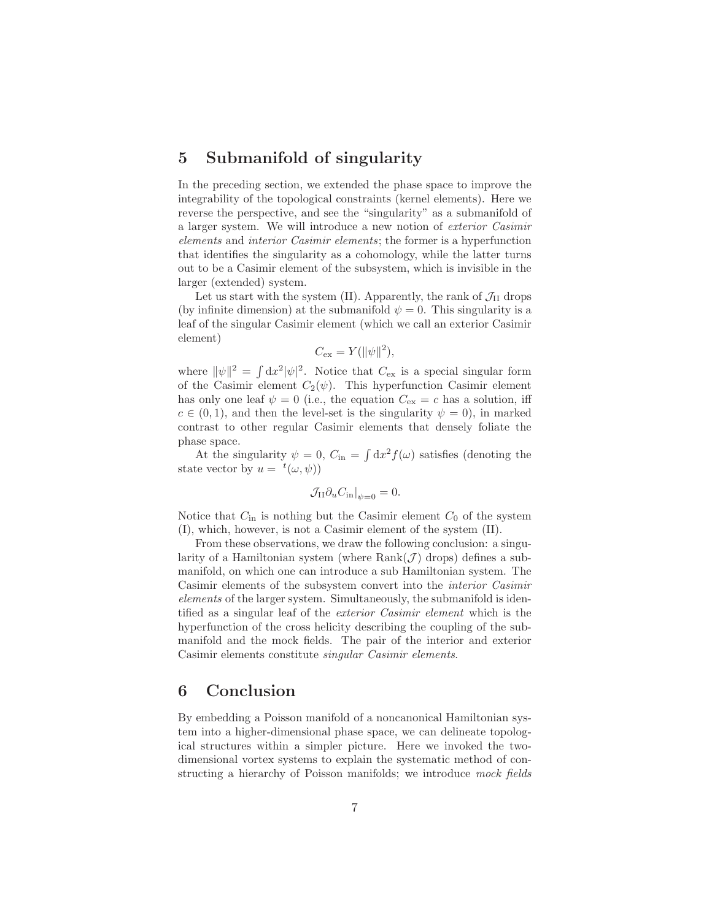### 5 Submanifold of singularity

In the preceding section, we extended the phase space to improve the integrability of the topological constraints (kernel elements). Here we reverse the perspective, and see the "singularity" as a submanifold of a larger system. We will introduce a new notion of exterior Casimir elements and interior Casimir elements; the former is a hyperfunction that identifies the singularity as a cohomology, while the latter turns out to be a Casimir element of the subsystem, which is invisible in the larger (extended) system.

Let us start with the system (II). Apparently, the rank of  $\mathcal{J}_{II}$  drops (by infinite dimension) at the submanifold  $\psi = 0$ . This singularity is a leaf of the singular Casimir element (which we call an exterior Casimir element)

$$
C_{\text{ex}} = Y(||\psi||^2),
$$

where  $\|\psi\|^2 = \int dx^2 |\psi|^2$ . Notice that  $C_{\text{ex}}$  is a special singular form of the Casimir element  $C_2(\psi)$ . This hyperfunction Casimir element has only one leaf  $\psi = 0$  (i.e., the equation  $C_{\text{ex}} = c$  has a solution, iff  $c \in (0, 1)$ , and then the level-set is the singularity  $\psi = 0$ , in marked contrast to other regular Casimir elements that densely foliate the phase space.

At the singularity  $\psi = 0$ ,  $C_{\text{in}} = \int dx^2 f(\omega)$  satisfies (denoting the state vector by  $u = {}^{t}(\omega, \psi)$ 

$$
\mathcal{J}_{\mathrm{II}} \partial_u C_{\mathrm{in}}|_{\psi=0} = 0.
$$

Notice that  $C_{\text{in}}$  is nothing but the Casimir element  $C_0$  of the system (I), which, however, is not a Casimir element of the system (II).

From these observations, we draw the following conclusion: a singularity of a Hamiltonian system (where  $Rank(\mathcal{J})$  drops) defines a submanifold, on which one can introduce a sub Hamiltonian system. The Casimir elements of the subsystem convert into the interior Casimir elements of the larger system. Simultaneously, the submanifold is identified as a singular leaf of the exterior Casimir element which is the hyperfunction of the cross helicity describing the coupling of the submanifold and the mock fields. The pair of the interior and exterior Casimir elements constitute singular Casimir elements.

#### 6 Conclusion

By embedding a Poisson manifold of a noncanonical Hamiltonian system into a higher-dimensional phase space, we can delineate topological structures within a simpler picture. Here we invoked the twodimensional vortex systems to explain the systematic method of constructing a hierarchy of Poisson manifolds; we introduce mock fields